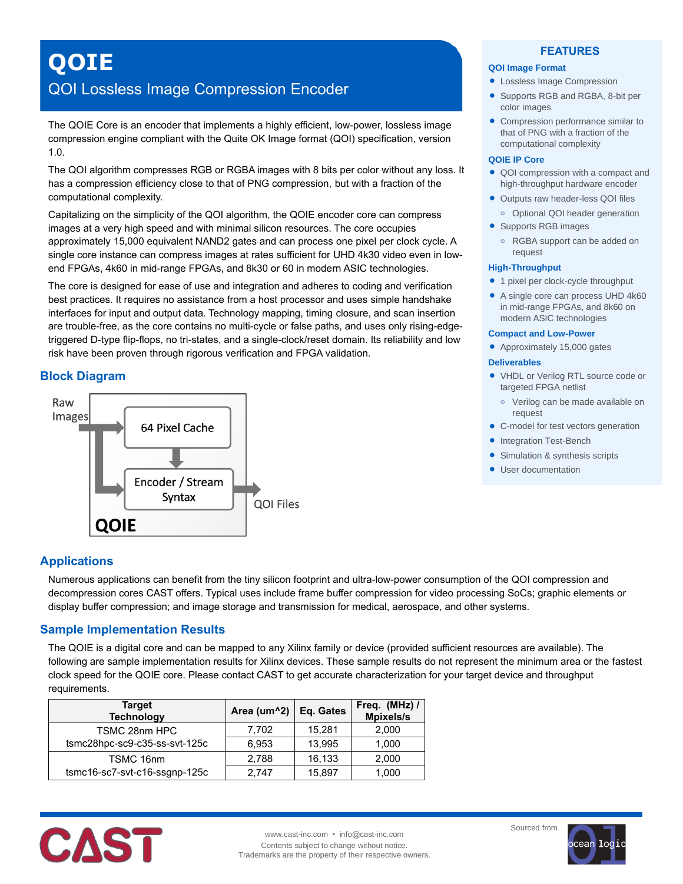# **QOIE**

## QOI Lossless Image Compression Encoder

The QOIE Core is an encoder that implements a highly efficient, low-power, lossless image compression engine compliant with the Quite OK Image format (QOI) specification, version 1.0.

The QOI algorithm compresses RGB or RGBA images with 8 bits per color without any loss. It has a compression efficiency close to that of PNG compression, but with a fraction of the computational complexity.

Capitalizing on the simplicity of the QOI algorithm, the QOIE encoder core can compress images at a very high speed and with minimal silicon resources. The core occupies approximately 15,000 equivalent NAND2 gates and can process one pixel per clock cycle. A single core instance can compress images at rates sufficient for UHD 4k30 video even in lowend FPGAs, 4k60 in mid-range FPGAs, and 8k30 or 60 in modern ASIC technologies.

The core is designed for ease of use and integration and adheres to coding and verification best practices. It requires no assistance from a host processor and uses simple handshake interfaces for input and output data. Technology mapping, timing closure, and scan insertion are trouble-free, as the core contains no multi-cycle or false paths, and uses only rising-edgetriggered D-type flip-flops, no tri-states, and a single-clock/reset domain. Its reliability and low risk have been proven through rigorous verification and FPGA validation.

## **Block Diagram**



## **FEATURES**

## **QOI Image Format**

- Lossless Image Compression
- Supports RGB and RGBA, 8-bit per color images
- Compression performance similar to that of PNG with a fraction of the computational complexity

### **QOIE IP Core**

- QOI compression with a compact and high-throughput hardware encoder
- Outputs raw header-less QOI files
- **o** Optional QOI header generation
- Supports RGB images
	- **o** RGBA support can be added on request

#### **High-Throughput**

- 1 pixel per clock-cycle throughput
- A single core can process UHD 4k60 in mid-range FPGAs, and 8k60 on modern ASIC technologies

#### **Compact and Low-Power**

• Approximately 15,000 gates

#### **Deliverables**

- VHDL or Verilog RTL source code or targeted FPGA netlist
- **o** Verilog can be made available on request
- C-model for test vectors generation
- Integration Test-Bench
- Simulation & synthesis scripts
- **User documentation**

## **Applications**

Numerous applications can benefit from the tiny silicon footprint and ultra-low-power consumption of the QOI compression and decompression cores CAST offers. Typical uses include frame buffer compression for video processing SoCs; graphic elements or display buffer compression; and image storage and transmission for medical, aerospace, and other systems.

## **Sample Implementation Results**

The QOIE is a digital core and can be mapped to any Xilinx family or device (provided sufficient resources are available). The following are sample implementation results for Xilinx devices. These sample results do not represent the minimum area or the fastest clock speed for the QOIE core. Please contact CAST to get accurate characterization for your target device and throughput requirements.

| Target<br><b>Technology</b>   | Area (um^2) | Eq. Gates | Freq. (MHz) /<br><b>Mpixels/s</b> |
|-------------------------------|-------------|-----------|-----------------------------------|
| TSMC 28nm HPC                 | 7.702       | 15.281    | 2,000                             |
| tsmc28hpc-sc9-c35-ss-svt-125c | 6,953       | 13,995    | 1,000                             |
| TSMC 16nm                     | 2,788       | 16,133    | 2,000                             |
| tsmc16-sc7-svt-c16-ssgnp-125c | 2.747       | 15,897    | 1,000                             |